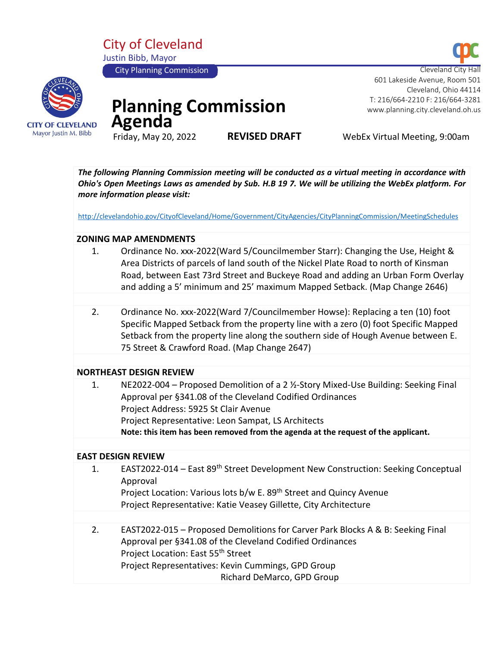City of Cleveland Justin Bibb, Mayor





# **Planning Commission Agenda** Friday, May 20, 2022

 601 Lakeside Avenue, Room 501 Cleveland, Ohio 44114 T: 216/664-2210 F: 216/664-3281 www.planning.city.cleveland.oh.us

**REVISED DRAFT** WebEx Virtual Meeting, 9:00am

*The following Planning Commission meeting will be conducted as a virtual meeting in accordance with Ohio's Open Meetings Laws as amended by Sub. H.B 19 7. We will be utilizing the WebEx platform. For more information please visit:* 

<http://clevelandohio.gov/CityofCleveland/Home/Government/CityAgencies/CityPlanningCommission/MeetingSchedules>

#### **ZONING MAP AMENDMENTS**

- 1. Ordinance No. xxx-2022(Ward 5/Councilmember Starr): Changing the Use, Height & Area Districts of parcels of land south of the Nickel Plate Road to north of Kinsman Road, between East 73rd Street and Buckeye Road and adding an Urban Form Overlay and adding a 5' minimum and 25' maximum Mapped Setback. (Map Change 2646)
- 2. Ordinance No. xxx-2022(Ward 7/Councilmember Howse): Replacing a ten (10) foot Specific Mapped Setback from the property line with a zero (0) foot Specific Mapped Setback from the property line along the southern side of Hough Avenue between E. 75 Street & Crawford Road. (Map Change 2647)

#### **NORTHEAST DESIGN REVIEW**

|    | Note: this item has been removed from the agenda at the request of the applicant. |
|----|-----------------------------------------------------------------------------------|
|    | Project Representative: Leon Sampat, LS Architects                                |
|    | Project Address: 5925 St Clair Avenue                                             |
|    | Approval per §341.08 of the Cleveland Codified Ordinances                         |
| 1. | NE2022-004 – Proposed Demolition of a 2 ½-Story Mixed-Use Building: Seeking Final |

#### **EAST DESIGN REVIEW**

1. EAST2022-014 – East 89th Street Development New Construction: Seeking Conceptual Approval Project Location: Various lots b/w E. 89<sup>th</sup> Street and Quincy Avenue Project Representative: Katie Veasey Gillette, City Architecture 2. EAST2022-015 – Proposed Demolitions for Carver Park Blocks A & B: Seeking Final Approval per §341.08 of the Cleveland Codified Ordinances Project Location: East 55th Street Project Representatives: Kevin Cummings, GPD Group Richard DeMarco, GPD Group

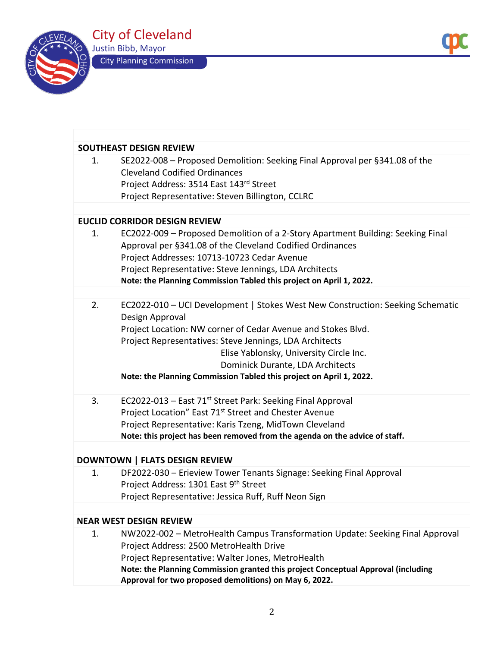

| <b>SOUTHEAST DESIGN REVIEW</b> |                                                                                                                                                                                                                                                                                                                                                                                    |  |  |  |  |
|--------------------------------|------------------------------------------------------------------------------------------------------------------------------------------------------------------------------------------------------------------------------------------------------------------------------------------------------------------------------------------------------------------------------------|--|--|--|--|
| 1.                             | SE2022-008 - Proposed Demolition: Seeking Final Approval per §341.08 of the<br><b>Cleveland Codified Ordinances</b><br>Project Address: 3514 East 143rd Street<br>Project Representative: Steven Billington, CCLRC                                                                                                                                                                 |  |  |  |  |
|                                |                                                                                                                                                                                                                                                                                                                                                                                    |  |  |  |  |
|                                | <b>EUCLID CORRIDOR DESIGN REVIEW</b>                                                                                                                                                                                                                                                                                                                                               |  |  |  |  |
| $\mathbf{1}$ .                 | EC2022-009 - Proposed Demolition of a 2-Story Apartment Building: Seeking Final<br>Approval per §341.08 of the Cleveland Codified Ordinances<br>Project Addresses: 10713-10723 Cedar Avenue<br>Project Representative: Steve Jennings, LDA Architects<br>Note: the Planning Commission Tabled this project on April 1, 2022.                                                       |  |  |  |  |
|                                |                                                                                                                                                                                                                                                                                                                                                                                    |  |  |  |  |
| 2.                             | EC2022-010 - UCI Development   Stokes West New Construction: Seeking Schematic<br>Design Approval<br>Project Location: NW corner of Cedar Avenue and Stokes Blvd.<br>Project Representatives: Steve Jennings, LDA Architects<br>Elise Yablonsky, University Circle Inc.<br>Dominick Durante, LDA Architects<br>Note: the Planning Commission Tabled this project on April 1, 2022. |  |  |  |  |
|                                |                                                                                                                                                                                                                                                                                                                                                                                    |  |  |  |  |
| 3.                             | EC2022-013 – East 71 <sup>st</sup> Street Park: Seeking Final Approval<br>Project Location" East 71 <sup>st</sup> Street and Chester Avenue<br>Project Representative: Karis Tzeng, MidTown Cleveland<br>Note: this project has been removed from the agenda on the advice of staff.                                                                                               |  |  |  |  |
|                                |                                                                                                                                                                                                                                                                                                                                                                                    |  |  |  |  |

## **DOWNTOWN | FLATS DESIGN REVIEW**

|  | DF2022-030 - Erieview Tower Tenants Signage: Seeking Final Approval |
|--|---------------------------------------------------------------------|
|  | Project Address: 1301 East 9th Street                               |
|  | Project Representative: Jessica Ruff, Ruff Neon Sign                |
|  |                                                                     |

### **NEAR WEST DESIGN REVIEW**

| 1. | NW2022-002 - MetroHealth Campus Transformation Update: Seeking Final Approval     |
|----|-----------------------------------------------------------------------------------|
|    | Project Address: 2500 MetroHealth Drive                                           |
|    | Project Representative: Walter Jones, MetroHealth                                 |
|    | Note: the Planning Commission granted this project Conceptual Approval (including |
|    | Approval for two proposed demolitions) on May 6, 2022.                            |
|    |                                                                                   |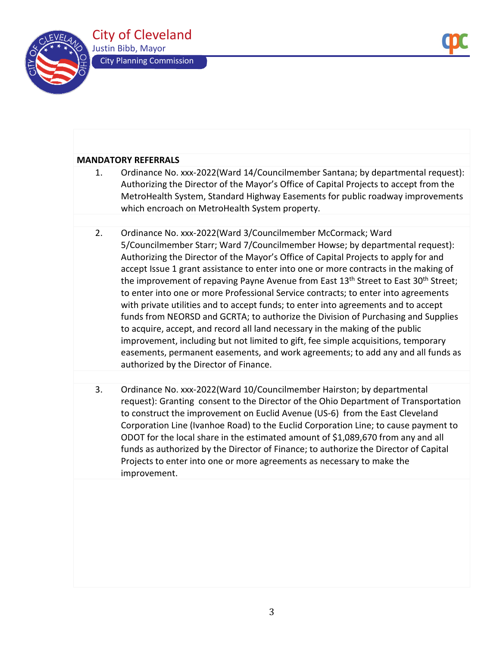

#### **MANDATORY REFERRALS**

- 1. Ordinance No. xxx-2022(Ward 14/Councilmember Santana; by departmental request): Authorizing the Director of the Mayor's Office of Capital Projects to accept from the MetroHealth System, Standard Highway Easements for public roadway improvements which encroach on MetroHealth System property. 2. Ordinance No. xxx-2022(Ward 3/Councilmember McCormack; Ward 5/Councilmember Starr; Ward 7/Councilmember Howse; by departmental request): Authorizing the Director of the Mayor's Office of Capital Projects to apply for and accept Issue 1 grant assistance to enter into one or more contracts in the making of the improvement of repaving Payne Avenue from East 13<sup>th</sup> Street to East 30<sup>th</sup> Street; to enter into one or more Professional Service contracts; to enter into agreements with private utilities and to accept funds; to enter into agreements and to accept
	- funds from NEORSD and GCRTA; to authorize the Division of Purchasing and Supplies to acquire, accept, and record all land necessary in the making of the public improvement, including but not limited to gift, fee simple acquisitions, temporary easements, permanent easements, and work agreements; to add any and all funds as authorized by the Director of Finance.
	- 3. Ordinance No. xxx-2022(Ward 10/Councilmember Hairston; by departmental request): Granting consent to the Director of the Ohio Department of Transportation to construct the improvement on Euclid Avenue (US-6) from the East Cleveland Corporation Line (Ivanhoe Road) to the Euclid Corporation Line; to cause payment to ODOT for the local share in the estimated amount of \$1,089,670 from any and all funds as authorized by the Director of Finance; to authorize the Director of Capital Projects to enter into one or more agreements as necessary to make the improvement.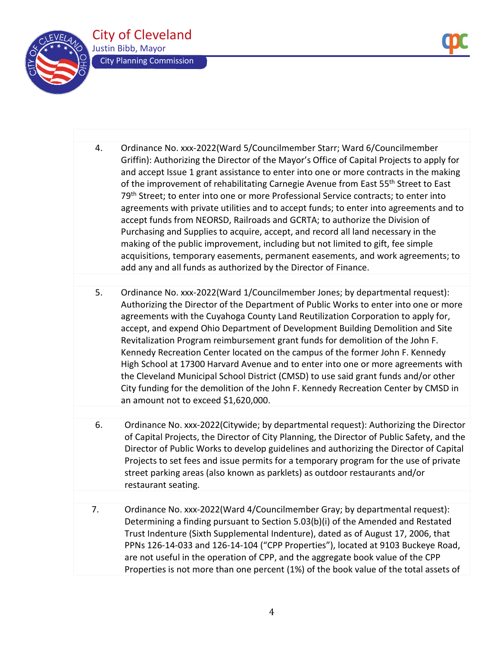

- 4. Ordinance No. xxx-2022(Ward 5/Councilmember Starr; Ward 6/Councilmember Griffin): Authorizing the Director of the Mayor's Office of Capital Projects to apply for and accept Issue 1 grant assistance to enter into one or more contracts in the making of the improvement of rehabilitating Carnegie Avenue from East 55<sup>th</sup> Street to East 79<sup>th</sup> Street; to enter into one or more Professional Service contracts; to enter into agreements with private utilities and to accept funds; to enter into agreements and to accept funds from NEORSD, Railroads and GCRTA; to authorize the Division of Purchasing and Supplies to acquire, accept, and record all land necessary in the making of the public improvement, including but not limited to gift, fee simple acquisitions, temporary easements, permanent easements, and work agreements; to add any and all funds as authorized by the Director of Finance.
- 5. Ordinance No. xxx-2022(Ward 1/Councilmember Jones; by departmental request): Authorizing the Director of the Department of Public Works to enter into one or more agreements with the Cuyahoga County Land Reutilization Corporation to apply for, accept, and expend Ohio Department of Development Building Demolition and Site Revitalization Program reimbursement grant funds for demolition of the John F. Kennedy Recreation Center located on the campus of the former John F. Kennedy High School at 17300 Harvard Avenue and to enter into one or more agreements with the Cleveland Municipal School District (CMSD) to use said grant funds and/or other City funding for the demolition of the John F. Kennedy Recreation Center by CMSD in an amount not to exceed \$1,620,000.
- 6. Ordinance No. xxx-2022(Citywide; by departmental request): Authorizing the Director of Capital Projects, the Director of City Planning, the Director of Public Safety, and the Director of Public Works to develop guidelines and authorizing the Director of Capital Projects to set fees and issue permits for a temporary program for the use of private street parking areas (also known as parklets) as outdoor restaurants and/or restaurant seating.
- 7. Ordinance No. xxx-2022(Ward 4/Councilmember Gray; by departmental request): Determining a finding pursuant to Section 5.03(b)(i) of the Amended and Restated Trust Indenture (Sixth Supplemental Indenture), dated as of August 17, 2006, that PPNs 126-14-033 and 126-14-104 ("CPP Properties"), located at 9103 Buckeye Road, are not useful in the operation of CPP, and the aggregate book value of the CPP Properties is not more than one percent (1%) of the book value of the total assets of